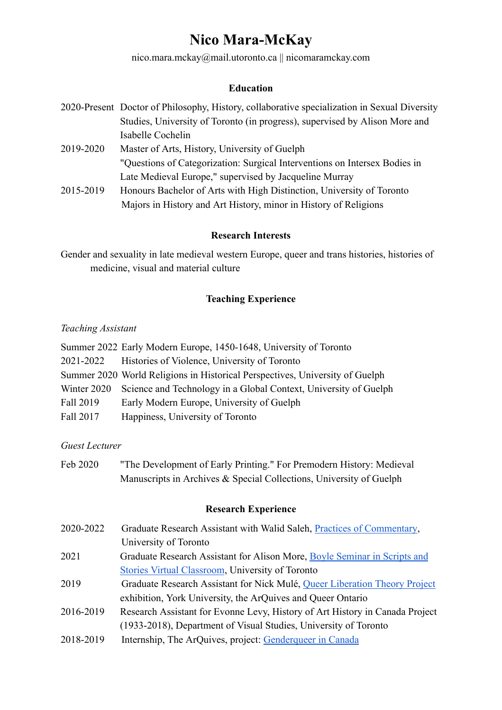# **Nico Mara-McKay**

nico.mara.mckay@mail.utoronto.ca || nicomaramckay.com

#### **Education**

|           | 2020-Present Doctor of Philosophy, History, collaborative specialization in Sexual Diversity |
|-----------|----------------------------------------------------------------------------------------------|
|           | Studies, University of Toronto (in progress), supervised by Alison More and                  |
|           | Isabelle Cochelin                                                                            |
| 2019-2020 | Master of Arts, History, University of Guelph                                                |
|           | "Questions of Categorization: Surgical Interventions on Intersex Bodies in                   |
|           | Late Medieval Europe," supervised by Jacqueline Murray                                       |
| 2015-2019 | Honours Bachelor of Arts with High Distinction, University of Toronto                        |
|           | Majors in History and Art History, minor in History of Religions                             |

#### **Research Interests**

Gender and sexuality in late medieval western Europe, queer and trans histories, histories of medicine, visual and material culture

# **Teaching Experience**

## *Teaching Assistant*

|           | Summer 2022 Early Modern Europe, 1450-1648, University of Toronto            |
|-----------|------------------------------------------------------------------------------|
| 2021-2022 | Histories of Violence, University of Toronto                                 |
|           | Summer 2020 World Religions in Historical Perspectives, University of Guelph |
|           | Winter 2020 Science and Technology in a Global Context, University of Guelph |
| Fall 2019 | Early Modern Europe, University of Guelph                                    |
| Fall 2017 | Happiness, University of Toronto                                             |

# *Guest Lecturer*

Feb 2020 "The Development of Early Printing." For Premodern History: Medieval Manuscripts in Archives & Special Collections, University of Guelph

# **Research Experience**

- 2020-2022 Graduate Research Assistant with Walid Saleh, [Practices of Commentary,](https://globalcommentary.utoronto.ca/) University of Toronto 2021 Graduate Research Assistant for Alison More, [Boyle Seminar in Scripts and](https://stmikes.utoronto.ca/program/smc-one-boyle-seminar)
- [Stories Virtual Classroom](https://stmikes.utoronto.ca/program/smc-one-boyle-seminar), University of Toronto
- 2019 Graduate Research Assistant for Nick Mulé, Queer [Liberation Theory Project](http://digitalcollections.clga.ca/exhibits/show/qltp/overview) exhibition, York University, the ArQuives and Queer Ontario
- 2016-2019 Research Assistant for Evonne Levy, History of Art History in Canada Project (1933-2018), Department of Visual Studies, University of Toronto
- 2018-2019 Internship, The ArQuives, project: [Genderqueer](https://digitalexhibitions.arquives.ca/exhibits/show/genderqueer-in-canada/introduction) in Canada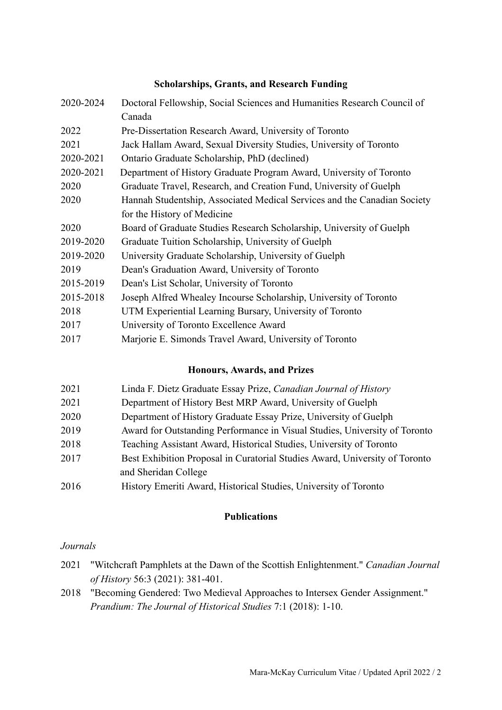#### **Scholarships, Grants, and Research Funding**

| 2020-2024 | Doctoral Fellowship, Social Sciences and Humanities Research Council of  |
|-----------|--------------------------------------------------------------------------|
|           | Canada                                                                   |
| 2022      | Pre-Dissertation Research Award, University of Toronto                   |
| 2021      | Jack Hallam Award, Sexual Diversity Studies, University of Toronto       |
| 2020-2021 | Ontario Graduate Scholarship, PhD (declined)                             |
| 2020-2021 | Department of History Graduate Program Award, University of Toronto      |
| 2020      | Graduate Travel, Research, and Creation Fund, University of Guelph       |
| 2020      | Hannah Studentship, Associated Medical Services and the Canadian Society |
|           | for the History of Medicine                                              |
| 2020      | Board of Graduate Studies Research Scholarship, University of Guelph     |
| 2019-2020 | Graduate Tuition Scholarship, University of Guelph                       |
| 2019-2020 | University Graduate Scholarship, University of Guelph                    |
| 2019      | Dean's Graduation Award, University of Toronto                           |
| 2015-2019 | Dean's List Scholar, University of Toronto                               |
| 2015-2018 | Joseph Alfred Whealey Incourse Scholarship, University of Toronto        |
| 2018      | UTM Experiential Learning Bursary, University of Toronto                 |
| 2017      | University of Toronto Excellence Award                                   |
| 2017      | Marjorie E. Simonds Travel Award, University of Toronto                  |

# **Honours, Awards, and Prizes**

| 2021 | Linda F. Dietz Graduate Essay Prize, Canadian Journal of History            |
|------|-----------------------------------------------------------------------------|
| 2021 | Department of History Best MRP Award, University of Guelph                  |
| 2020 | Department of History Graduate Essay Prize, University of Guelph            |
| 2019 | Award for Outstanding Performance in Visual Studies, University of Toronto  |
| 2018 | Teaching Assistant Award, Historical Studies, University of Toronto         |
| 2017 | Best Exhibition Proposal in Curatorial Studies Award, University of Toronto |
|      | and Sheridan College                                                        |
| 2016 | History Emeriti Award, Historical Studies, University of Toronto            |
|      |                                                                             |

#### **Publications**

*Journals*

- 2021 "Witchcraft Pamphlets at the Dawn of the Scottish Enlightenment." *Canadian Journal of History* 56:3 (2021): 381-401.
- 2018 "Becoming Gendered: Two Medieval Approaches to Intersex Gender Assignment." *Prandium: The Journal of Historical Studies* 7:1 (2018): 1-10.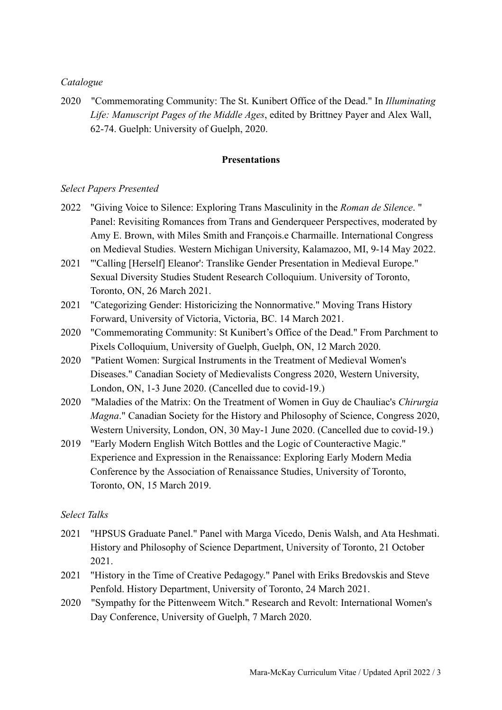## *Catalogue*

2020 "Commemorating Community: The St. Kunibert Office of the Dead." In *Illuminating Life: Manuscript Pages of the Middle Ages*, edited by Brittney Payer and Alex Wall, 62-74. Guelph: University of Guelph, 2020.

#### **Presentations**

#### *Select Papers Presented*

- 2022 "Giving Voice to Silence: Exploring Trans Masculinity in the *Roman de Silence*. " Panel: Revisiting Romances from Trans and Genderqueer Perspectives, moderated by Amy E. Brown, with Miles Smith and François.e Charmaille. International Congress on Medieval Studies. Western Michigan University, Kalamazoo, MI, 9-14 May 2022.
- 2021 "'Calling [Herself] Eleanor': Translike Gender Presentation in Medieval Europe." Sexual Diversity Studies Student Research Colloquium. University of Toronto, Toronto, ON, 26 March 2021.
- 2021 "Categorizing Gender: Historicizing the Nonnormative." Moving Trans History Forward, University of Victoria, Victoria, BC. 14 March 2021.
- 2020 "Commemorating Community: St Kunibert's Office of the Dead." From Parchment to Pixels Colloquium, University of Guelph, Guelph, ON, 12 March 2020.
- 2020 "Patient Women: Surgical Instruments in the Treatment of Medieval Women's Diseases." Canadian Society of Medievalists Congress 2020, Western University, London, ON, 1-3 June 2020. (Cancelled due to covid-19.)
- 2020 "Maladies of the Matrix: On the Treatment of Women in Guy de Chauliac's *Chirurgia Magna*." Canadian Society for the History and Philosophy of Science, Congress 2020, Western University, London, ON, 30 May-1 June 2020. (Cancelled due to covid-19.)
- 2019 "Early Modern English Witch Bottles and the Logic of Counteractive Magic." Experience and Expression in the Renaissance: Exploring Early Modern Media Conference by the Association of Renaissance Studies, University of Toronto, Toronto, ON, 15 March 2019.

## *Select Talks*

- 2021 "HPSUS Graduate Panel." Panel with Marga Vicedo, Denis Walsh, and Ata Heshmati. History and Philosophy of Science Department, University of Toronto, 21 October 2021.
- 2021 "History in the Time of Creative Pedagogy." Panel with Eriks Bredovskis and Steve Penfold. History Department, University of Toronto, 24 March 2021.
- 2020 "Sympathy for the Pittenweem Witch." Research and Revolt: International Women's Day Conference, University of Guelph, 7 March 2020.